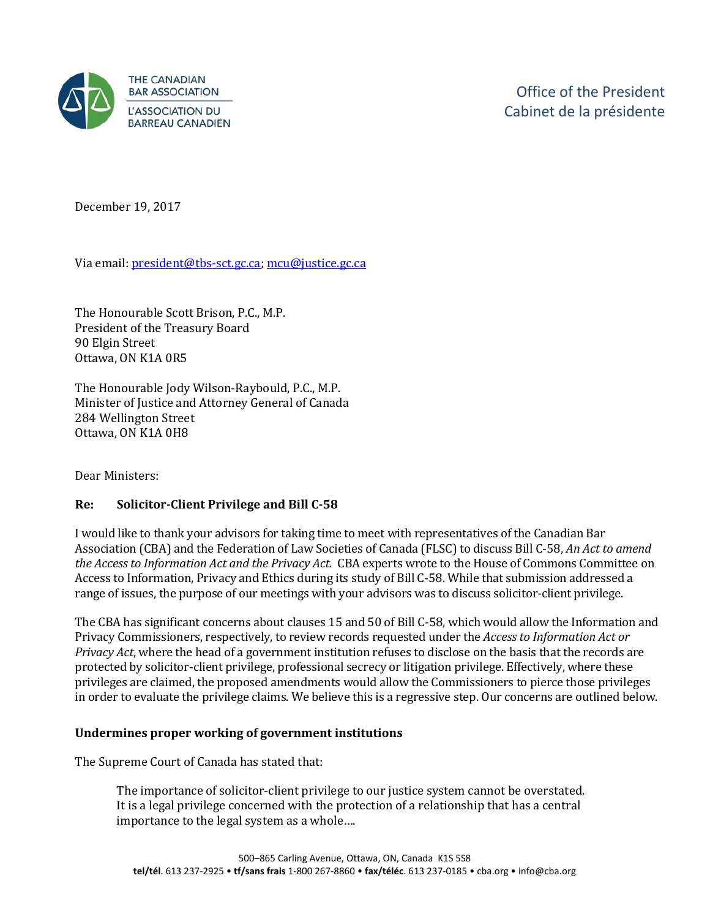

December 19, 2017

Via email[: president@tbs-sct.gc.ca;](mailto:president@tbs-sct.gc.ca) [mcu@justice.gc.ca](mailto:mcu@justice.gc.ca) 

The Honourable Scott Brison, P.C., M.P. President of the Treasury Board 90 Elgin Street Ottawa, ON K1A 0R5

The Honourable Jody Wilson-Raybould, P.C., M.P. Minister of Justice and Attorney General of Canada 284 Wellington Street Ottawa, ON K1A 0H8

Dear Ministers:

## **Re: Solicitor-Client Privilege and Bill C-58**

I would like to thank your advisors for taking time to meet with representatives of the Canadian Bar Association (CBA) and the Federation of Law Societies of Canada (FLSC) to discuss Bill C-58, *An Act to amend the Access to Information Act and the Privacy Act*. CBA experts wrote to the House of Commons Committee on Access to Information, Privacy and Ethics during its study of Bill C-58. While that submission addressed a range of issues, the purpose of our meetings with your advisors was to discuss solicitor-client privilege.

The CBA has significant concerns about clauses 15 and 50 of Bill C-58, which would allow the Information and Privacy Commissioners, respectively, to review records requested under the *Access to Information Act or Privacy Act*, where the head of a government institution refuses to disclose on the basis that the records are protected by solicitor-client privilege, professional secrecy or litigation privilege. Effectively, where these privileges are claimed, the proposed amendments would allow the Commissioners to pierce those privileges in order to evaluate the privilege claims. We believe this is a regressive step. Our concerns are outlined below.

#### **Undermines proper working of government institutions**

The Supreme Court of Canada has stated that:

The importance of solicitor-client privilege to our justice system cannot be overstated. It is a legal privilege concerned with the protection of a relationship that has a central importance to the legal system as a whole….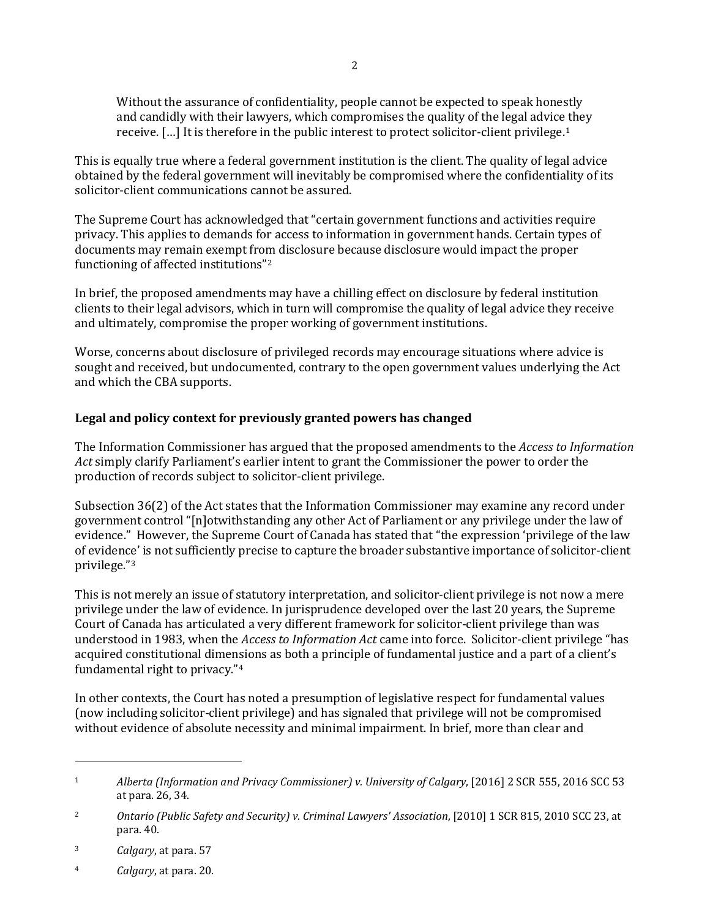Without the assurance of confidentiality, people cannot be expected to speak honestly and candidly with their lawyers, which compromises the quality of the legal advice they receive. […] It is therefore in the public interest to protect solicitor-client privilege.[1](#page-1-0) 

This is equally true where a federal government institution is the client. The quality of legal advice obtained by the federal government will inevitably be compromised where the confidentiality of its solicitor-client communications cannot be assured.

The Supreme Court has acknowledged that "certain government functions and activities require privacy. This applies to demands for access to information in government hands. Certain types of documents may remain exempt from disclosure because disclosure would impact the proper functioning of affected institutions"[2](#page-1-1) 

In brief, the proposed amendments may have a chilling effect on disclosure by federal institution clients to their legal advisors, which in turn will compromise the quality of legal advice they receive and ultimately, compromise the proper working of government institutions.

Worse, concerns about disclosure of privileged records may encourage situations where advice is sought and received, but undocumented, contrary to the open government values underlying the Act and which the CBA supports.

# **Legal and policy context for previously granted powers has changed**

The Information Commissioner has argued that the proposed amendments to the *Access to Information Act* simply clarify Parliament's earlier intent to grant the Commissioner the power to order the production of records subject to solicitor-client privilege.

Subsection 36(2) of the Act states that the Information Commissioner may examine any record under government control "[n]otwithstanding any other Act of Parliament or any privilege under the law of evidence." However, the Supreme Court of Canada has stated that "the expression 'privilege of the law of evidence' is not sufficiently precise to capture the broader substantive importance of solicitor-client privilege."[3](#page-1-2)

This is not merely an issue of statutory interpretation, and solicitor-client privilege is not now a mere privilege under the law of evidence. In jurisprudence developed over the last 20 years, the Supreme Court of Canada has articulated a very different framework for solicitor-client privilege than was understood in 1983, when the *Access to Information Act* came into force. Solicitor-client privilege "has acquired constitutional dimensions as both a principle of fundamental justice and a part of a client's fundamental right to privacy."[4](#page-1-3)

In other contexts, the Court has noted a presumption of legislative respect for fundamental values (now including solicitor-client privilege) and has signaled that privilege will not be compromised without evidence of absolute necessity and minimal impairment. In brief, more than clear and

I

<span id="page-1-3"></span>4 *Calgary*, at para. 20.

<span id="page-1-0"></span><sup>1</sup> *Alberta (Information and Privacy Commissioner) v. University of Calgary*, [2016] 2 SCR 555, 2016 SCC 53 at para. 26, 34.

<span id="page-1-1"></span><sup>2</sup> *Ontario (Public Safety and Security) v. Criminal Lawyers' Association*, [2010] 1 SCR 815, 2010 SCC 23, at para. 40.

<span id="page-1-2"></span><sup>3</sup> *Calgary*, at para. 57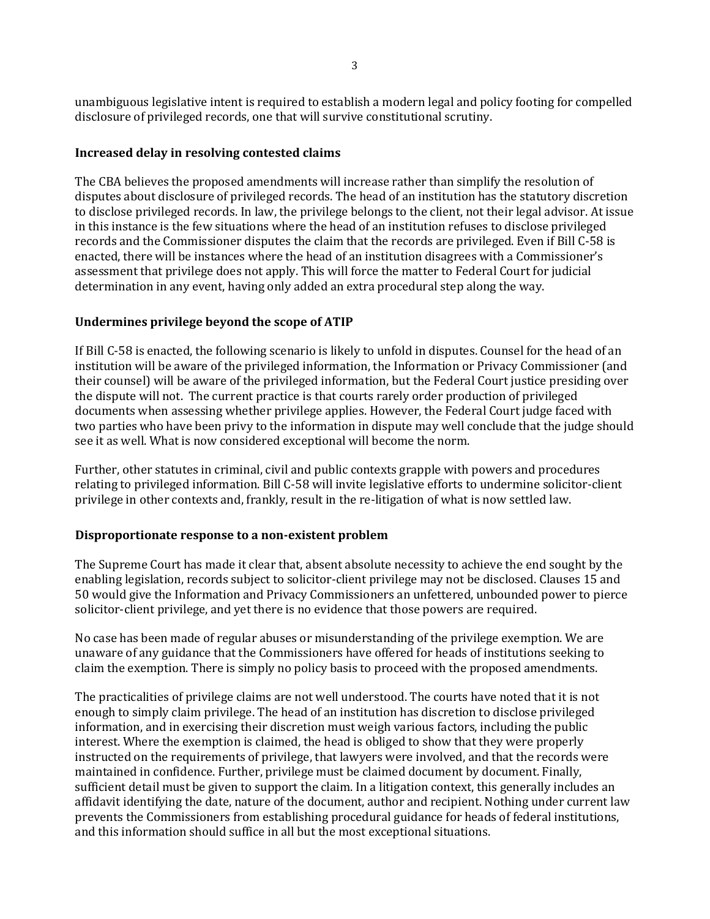unambiguous legislative intent is required to establish a modern legal and policy footing for compelled disclosure of privileged records, one that will survive constitutional scrutiny.

### **Increased delay in resolving contested claims**

The CBA believes the proposed amendments will increase rather than simplify the resolution of disputes about disclosure of privileged records. The head of an institution has the statutory discretion to disclose privileged records. In law, the privilege belongs to the client, not their legal advisor. At issue in this instance is the few situations where the head of an institution refuses to disclose privileged records and the Commissioner disputes the claim that the records are privileged. Even if Bill C-58 is enacted, there will be instances where the head of an institution disagrees with a Commissioner's assessment that privilege does not apply. This will force the matter to Federal Court for judicial determination in any event, having only added an extra procedural step along the way.

## **Undermines privilege beyond the scope of ATIP**

If Bill C-58 is enacted, the following scenario is likely to unfold in disputes. Counsel for the head of an institution will be aware of the privileged information, the Information or Privacy Commissioner (and their counsel) will be aware of the privileged information, but the Federal Court justice presiding over the dispute will not. The current practice is that courts rarely order production of privileged documents when assessing whether privilege applies. However, the Federal Court judge faced with two parties who have been privy to the information in dispute may well conclude that the judge should see it as well. What is now considered exceptional will become the norm.

Further, other statutes in criminal, civil and public contexts grapple with powers and procedures relating to privileged information. Bill C-58 will invite legislative efforts to undermine solicitor-client privilege in other contexts and, frankly, result in the re-litigation of what is now settled law.

#### **Disproportionate response to a non-existent problem**

The Supreme Court has made it clear that, absent absolute necessity to achieve the end sought by the enabling legislation, records subject to solicitor-client privilege may not be disclosed. Clauses 15 and 50 would give the Information and Privacy Commissioners an unfettered, unbounded power to pierce solicitor-client privilege, and yet there is no evidence that those powers are required.

No case has been made of regular abuses or misunderstanding of the privilege exemption. We are unaware of any guidance that the Commissioners have offered for heads of institutions seeking to claim the exemption. There is simply no policy basis to proceed with the proposed amendments.

The practicalities of privilege claims are not well understood. The courts have noted that it is not enough to simply claim privilege. The head of an institution has discretion to disclose privileged information, and in exercising their discretion must weigh various factors, including the public interest. Where the exemption is claimed, the head is obliged to show that they were properly instructed on the requirements of privilege, that lawyers were involved, and that the records were maintained in confidence. Further, privilege must be claimed document by document. Finally, sufficient detail must be given to support the claim. In a litigation context, this generally includes an affidavit identifying the date, nature of the document, author and recipient. Nothing under current law prevents the Commissioners from establishing procedural guidance for heads of federal institutions, and this information should suffice in all but the most exceptional situations.